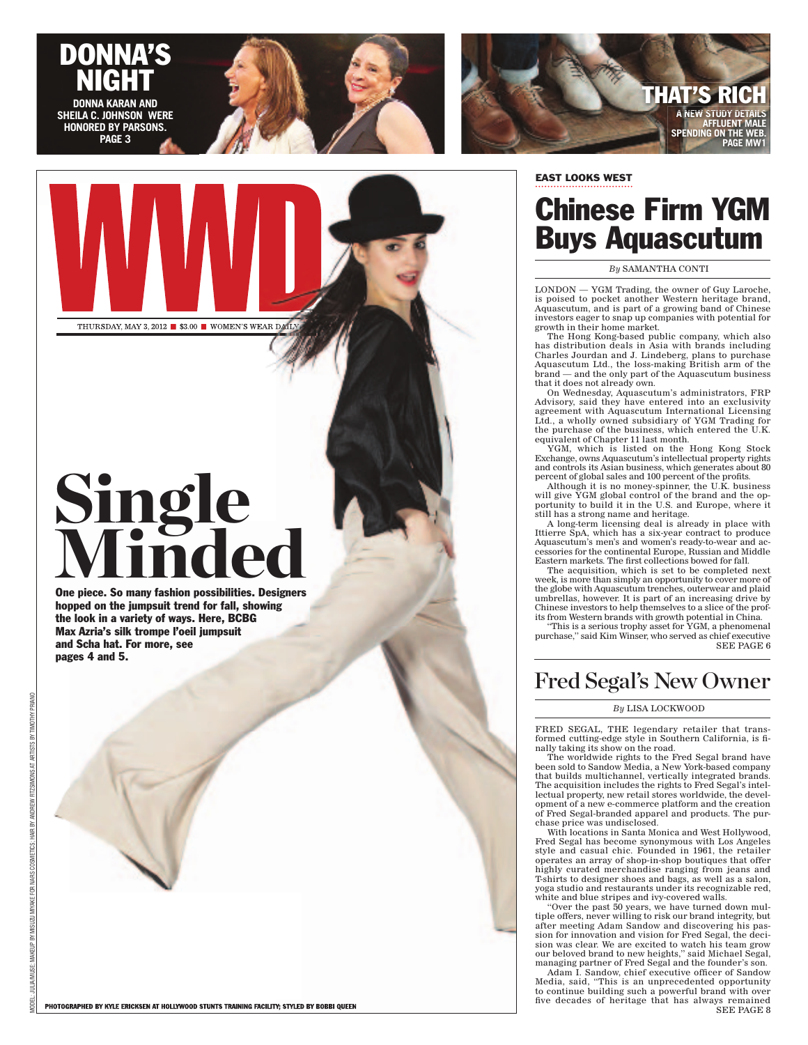

**PAGE 3**

#### **A NEW STUDY DETAILS AFFLUENT MALE DETAILS**  THAT'S RICH

**SPENDING ON THE WEB. PAGE MW1**



# Sing **Minded**

hopped on the jumpsuit trend for fall, showing the look in a variety of ways. Here, BCBG Max Azria's silk trompe l'oeil jumpsuit and Scha hat. For more, see pages 4 and 5.

TIMOTHY

#### EAST LOOKS WEST

## Chinese Firm YGM Buys Aquascutum

#### *By* SAMANTHA CONTI

LONDON — YGM Trading, the owner of Guy Laroche, is poised to pocket another Western heritage brand, Aquascutum, and is part of a growing band of Chinese investors eager to snap up companies with potential for growth in their home market.

The Hong Kong-based public company, which also has distribution deals in Asia with brands including Charles Jourdan and J. Lindeberg, plans to purchase Aquascutum Ltd., the loss-making British arm of the brand — and the only part of the Aquascutum business that it does not already own.

On Wednesday, Aquascutum's administrators, FRP Advisory, said they have entered into an exclusivity agreement with Aquascutum International Licensing Ltd., a wholly owned subsidiary of YGM Trading for the purchase of the business, which entered the U.K. equivalent of Chapter 11 last month.

YGM, which is listed on the Hong Kong Stock Exchange, owns Aquascutum's intellectual property rights and controls its Asian business, which generates about 80 percent of global sales and 100 percent of the profits.

Although it is no money-spinner, the U.K. business will give YGM global control of the brand and the opportunity to build it in the U.S. and Europe, where it

still has a strong name and heritage. A long-term licensing deal is already in place with Ittierre SpA, which has a six-year contract to produce Aquascutum's men's and women's ready-to-wear and accessories for the continental Europe, Russian and Middle Eastern markets. The fi rst collections bowed for fall.

The acquisition, which is set to be completed next week, is more than simply an opportunity to cover more of the globe with Aquascutum trenches, outerwear and plaid umbrellas, however. It is part of an increasing drive by Chinese investors to help themselves to a slice of the prof-

its from Western brands with growth potential in China. "This is a serious trophy asset for YGM, a phenomenal purchase," said Kim Winser, who served as chief executive SEE PAGE 6

### Fred Segal's New Owner

#### *By* LISA LOCKWOOD

FRED SEGAL, THE legendary retailer that transformed cutting-edge style in Southern California, is finally taking its show on the road.

The worldwide rights to the Fred Segal brand have been sold to Sandow Media, a New York-based company that builds multichannel, vertically integrated brands. The acquisition includes the rights to Fred Segal's intel-lectual property, new retail stores worldwide, the development of a new e-commerce platform and the creation of Fred Segal-branded apparel and products. The purchase price was undisclosed.

With locations in Santa Monica and West Hollywood, Fred Segal has become synonymous with Los Angeles style and casual chic. Founded in 1961, the retailer operates an array of shop-in-shop boutiques that offer highly curated merchandise ranging from jeans and T-shirts to designer shoes and bags, as well as a salon, yoga studio and restaurants under its recognizable red, white and blue stripes and ivy-covered walls.

"Over the past 50 years, we have turned down mul-tiple offers, never willing to risk our brand integrity, but after meeting Adam Sandow and discovering his passion for innovation and vision for Fred Segal, the deci-sion was clear. We are excited to watch his team grow our beloved brand to new heights," said Michael Segal, managing partner of Fred Segal and the founder's son.

SEE PAGE 8 Adam I. Sandow, chief executive officer of Sandow Media, said, "This is an unprecedented opportunity to continue building such a powerful brand with over<br>five decades of heritage that has always remained